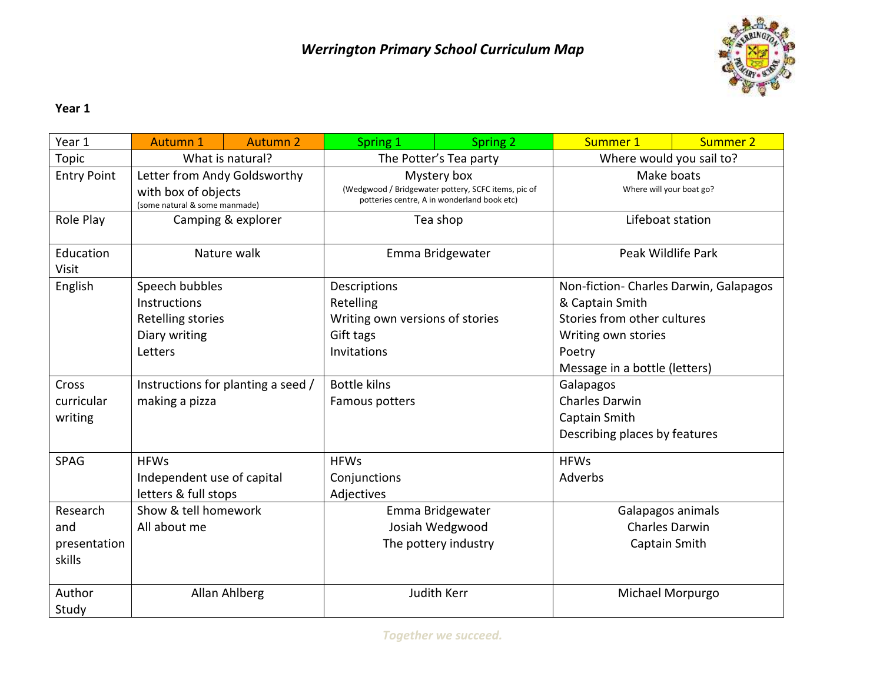

## **Year 1**

| Year 1                                    | <b>Autumn 1</b>                                                                      | <b>Autumn 2</b> | Spring 1                                                                                                          | Spring 2    | Summer 1                                                                                                                                                   | <b>Summer 2</b> |
|-------------------------------------------|--------------------------------------------------------------------------------------|-----------------|-------------------------------------------------------------------------------------------------------------------|-------------|------------------------------------------------------------------------------------------------------------------------------------------------------------|-----------------|
| <b>Topic</b>                              | What is natural?                                                                     |                 | The Potter's Tea party                                                                                            |             | Where would you sail to?                                                                                                                                   |                 |
| <b>Entry Point</b>                        | Letter from Andy Goldsworthy<br>with box of objects<br>(some natural & some manmade) |                 | Mystery box<br>(Wedgwood / Bridgewater pottery, SCFC items, pic of<br>potteries centre, A in wonderland book etc) |             | Make boats<br>Where will your boat go?                                                                                                                     |                 |
| Role Play                                 | Camping & explorer                                                                   |                 | Tea shop                                                                                                          |             | Lifeboat station                                                                                                                                           |                 |
| Education<br><b>Visit</b>                 | Nature walk                                                                          |                 | Emma Bridgewater                                                                                                  |             | Peak Wildlife Park                                                                                                                                         |                 |
| English                                   | Speech bubbles<br>Instructions<br>Retelling stories<br>Diary writing<br>Letters      |                 | Descriptions<br>Retelling<br>Writing own versions of stories<br>Gift tags<br>Invitations                          |             | Non-fiction- Charles Darwin, Galapagos<br>& Captain Smith<br>Stories from other cultures<br>Writing own stories<br>Poetry<br>Message in a bottle (letters) |                 |
| Cross<br>curricular<br>writing            | Instructions for planting a seed /<br>making a pizza                                 |                 | <b>Bottle kilns</b><br>Famous potters                                                                             |             | Galapagos<br><b>Charles Darwin</b><br>Captain Smith<br>Describing places by features                                                                       |                 |
| <b>SPAG</b>                               | <b>HFWs</b><br>Independent use of capital<br>letters & full stops                    |                 | <b>HFWs</b><br>Conjunctions<br>Adjectives                                                                         |             | <b>HFWs</b><br>Adverbs                                                                                                                                     |                 |
| Research<br>and<br>presentation<br>skills | Show & tell homework<br>All about me                                                 |                 | Emma Bridgewater<br>Josiah Wedgwood<br>The pottery industry                                                       |             | Galapagos animals<br><b>Charles Darwin</b><br>Captain Smith                                                                                                |                 |
| Author<br>Study                           |                                                                                      | Allan Ahlberg   |                                                                                                                   | Judith Kerr | Michael Morpurgo                                                                                                                                           |                 |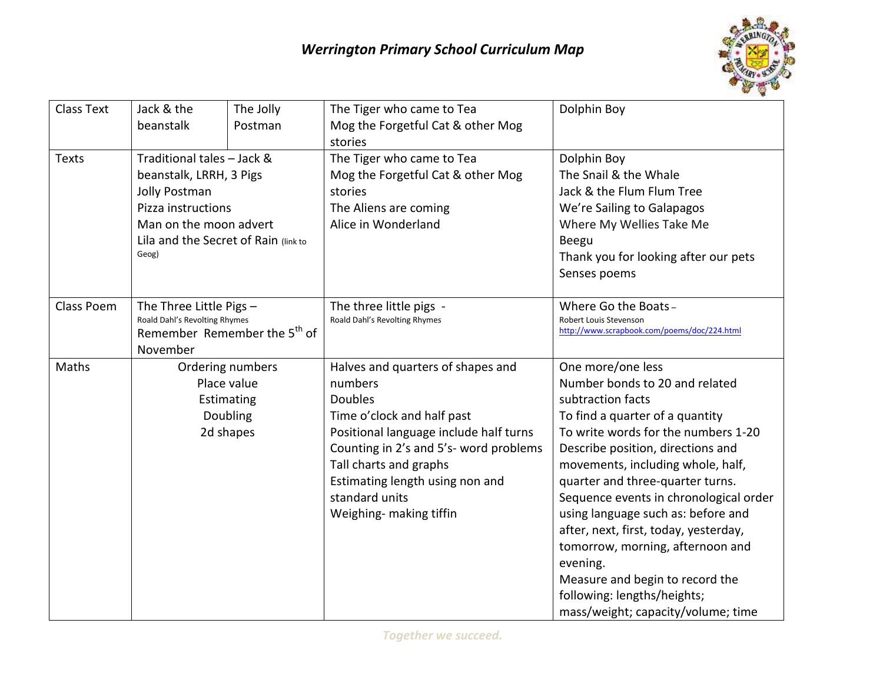

| <b>Class Text</b> | Jack & the                                                              | The Jolly | The Tiger who came to Tea              | Dolphin Boy                                                           |  |
|-------------------|-------------------------------------------------------------------------|-----------|----------------------------------------|-----------------------------------------------------------------------|--|
|                   | beanstalk<br>Postman                                                    |           | Mog the Forgetful Cat & other Mog      |                                                                       |  |
|                   |                                                                         |           | stories                                |                                                                       |  |
| <b>Texts</b>      | Traditional tales - Jack &                                              |           | The Tiger who came to Tea              | Dolphin Boy                                                           |  |
|                   | beanstalk, LRRH, 3 Pigs                                                 |           | Mog the Forgetful Cat & other Mog      | The Snail & the Whale                                                 |  |
|                   | Jolly Postman                                                           |           | stories                                | Jack & the Flum Flum Tree                                             |  |
|                   | Pizza instructions                                                      |           | The Aliens are coming                  | We're Sailing to Galapagos                                            |  |
|                   | Man on the moon advert<br>Lila and the Secret of Rain (link to<br>Geog) |           | Alice in Wonderland                    | Where My Wellies Take Me                                              |  |
|                   |                                                                         |           |                                        | Beegu                                                                 |  |
|                   |                                                                         |           |                                        | Thank you for looking after our pets                                  |  |
|                   |                                                                         |           |                                        | Senses poems                                                          |  |
|                   |                                                                         |           |                                        |                                                                       |  |
| <b>Class Poem</b> | The Three Little Pigs -                                                 |           | The three little pigs -                | Where Go the Boats-                                                   |  |
|                   | Roald Dahl's Revolting Rhymes                                           |           | Roald Dahl's Revolting Rhymes          | Robert Louis Stevenson<br>http://www.scrapbook.com/poems/doc/224.html |  |
|                   | Remember Remember the 5 <sup>th</sup> of                                |           |                                        |                                                                       |  |
|                   | November                                                                |           |                                        |                                                                       |  |
| Maths             | Ordering numbers<br>Place value<br>Estimating                           |           | Halves and quarters of shapes and      | One more/one less                                                     |  |
|                   |                                                                         |           | numbers                                | Number bonds to 20 and related                                        |  |
|                   |                                                                         |           | <b>Doubles</b>                         | subtraction facts                                                     |  |
|                   | Doubling                                                                |           | Time o'clock and half past             | To find a quarter of a quantity                                       |  |
|                   | 2d shapes                                                               |           | Positional language include half turns | To write words for the numbers 1-20                                   |  |
|                   |                                                                         |           | Counting in 2's and 5's- word problems | Describe position, directions and                                     |  |
|                   |                                                                         |           | Tall charts and graphs                 | movements, including whole, half,                                     |  |
|                   |                                                                         |           | Estimating length using non and        | quarter and three-quarter turns.                                      |  |
|                   |                                                                         |           | standard units                         | Sequence events in chronological order                                |  |
|                   |                                                                         |           | Weighing- making tiffin                | using language such as: before and                                    |  |
|                   |                                                                         |           |                                        | after, next, first, today, yesterday,                                 |  |
|                   |                                                                         |           |                                        | tomorrow, morning, afternoon and                                      |  |
|                   |                                                                         |           |                                        | evening.                                                              |  |
|                   |                                                                         |           |                                        | Measure and begin to record the                                       |  |
|                   |                                                                         |           |                                        | following: lengths/heights;                                           |  |
|                   |                                                                         |           |                                        | mass/weight; capacity/volume; time                                    |  |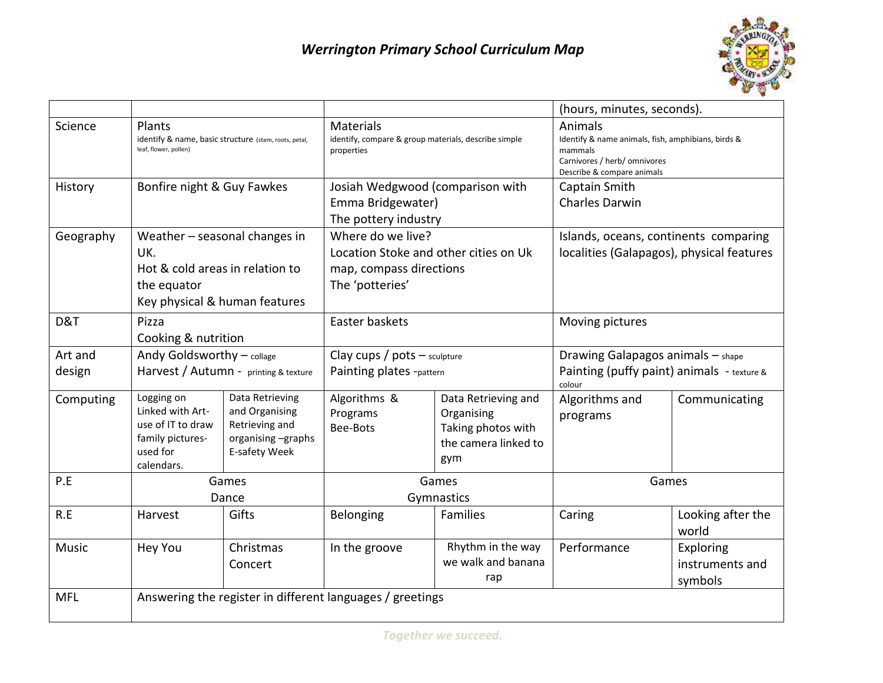

|              |                                                                                                   |                                                                                            |                                                                                        |                                                                                        | (hours, minutes, seconds).                                                                                                             |                                       |  |
|--------------|---------------------------------------------------------------------------------------------------|--------------------------------------------------------------------------------------------|----------------------------------------------------------------------------------------|----------------------------------------------------------------------------------------|----------------------------------------------------------------------------------------------------------------------------------------|---------------------------------------|--|
| Science      | Plants<br>identify & name, basic structure (stem, roots, petal,<br>leaf, flower, pollen)          |                                                                                            | <b>Materials</b><br>identify, compare & group materials, describe simple<br>properties |                                                                                        | Animals<br>Identify & name animals, fish, amphibians, birds &<br>mammals<br>Carnivores / herb/ omnivores<br>Describe & compare animals |                                       |  |
| History      | Bonfire night & Guy Fawkes                                                                        |                                                                                            | Josiah Wedgwood (comparison with                                                       |                                                                                        | Captain Smith                                                                                                                          |                                       |  |
|              |                                                                                                   |                                                                                            | Emma Bridgewater)                                                                      |                                                                                        | Charles Darwin                                                                                                                         |                                       |  |
|              |                                                                                                   |                                                                                            | The pottery industry                                                                   |                                                                                        |                                                                                                                                        |                                       |  |
| Geography    |                                                                                                   | Weather - seasonal changes in                                                              |                                                                                        | Where do we live?                                                                      |                                                                                                                                        | Islands, oceans, continents comparing |  |
|              | UK.                                                                                               |                                                                                            | Location Stoke and other cities on Uk                                                  |                                                                                        | localities (Galapagos), physical features                                                                                              |                                       |  |
|              |                                                                                                   | Hot & cold areas in relation to                                                            |                                                                                        | map, compass directions                                                                |                                                                                                                                        |                                       |  |
|              | the equator<br>Key physical & human features                                                      |                                                                                            | The 'potteries'                                                                        |                                                                                        |                                                                                                                                        |                                       |  |
| D&T          | Pizza                                                                                             |                                                                                            | Easter baskets                                                                         |                                                                                        | Moving pictures                                                                                                                        |                                       |  |
|              | Cooking & nutrition                                                                               |                                                                                            |                                                                                        |                                                                                        |                                                                                                                                        |                                       |  |
| Art and      |                                                                                                   | Andy Goldsworthy - collage                                                                 |                                                                                        | Clay $cups / post - sculpture$                                                         |                                                                                                                                        | Drawing Galapagos animals - shape     |  |
| design       | Harvest / Autumn - printing & texture                                                             |                                                                                            | Painting plates -pattern                                                               |                                                                                        | Painting (puffy paint) animals - texture &<br>colour                                                                                   |                                       |  |
| Computing    | Logging on<br>Linked with Art-<br>use of IT to draw<br>family pictures-<br>used for<br>calendars. | Data Retrieving<br>and Organising<br>Retrieving and<br>organising -graphs<br>E-safety Week | Algorithms &<br>Programs<br>Bee-Bots                                                   | Data Retrieving and<br>Organising<br>Taking photos with<br>the camera linked to<br>gym | Algorithms and<br>programs                                                                                                             | Communicating                         |  |
| P.E          | Games                                                                                             |                                                                                            | Games                                                                                  |                                                                                        | Games                                                                                                                                  |                                       |  |
|              | Dance                                                                                             |                                                                                            | Gymnastics                                                                             |                                                                                        |                                                                                                                                        |                                       |  |
| R.E          | Harvest                                                                                           | Gifts                                                                                      | Belonging                                                                              | Families                                                                               | Caring                                                                                                                                 | Looking after the<br>world            |  |
| <b>Music</b> | <b>Hey You</b>                                                                                    | Christmas                                                                                  | In the groove                                                                          | Rhythm in the way                                                                      | Performance                                                                                                                            | Exploring                             |  |
|              |                                                                                                   | Concert                                                                                    |                                                                                        | we walk and banana<br>rap                                                              |                                                                                                                                        | instruments and<br>symbols            |  |
| <b>MFL</b>   |                                                                                                   |                                                                                            | Answering the register in different languages / greetings                              |                                                                                        |                                                                                                                                        |                                       |  |